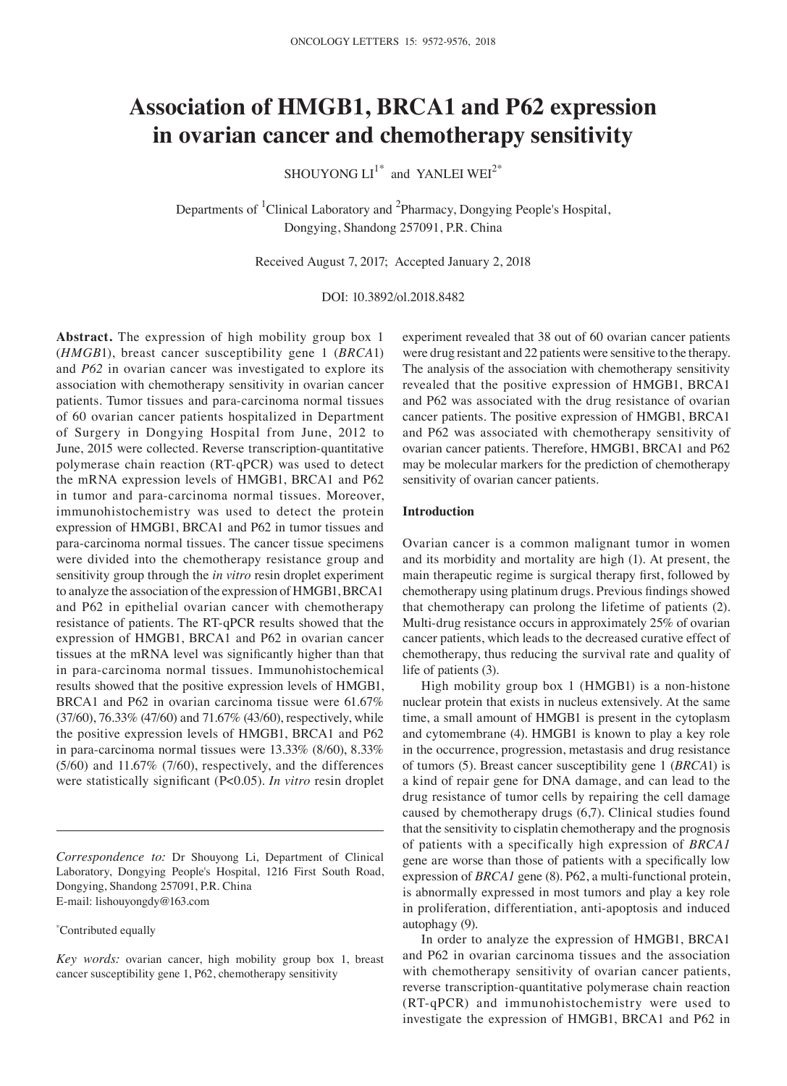# **Association of HMGB1, BRCA1 and P62 expression in ovarian cancer and chemotherapy sensitivity**

SHOUYONG  $LI^{1*}$  and YANLEI WEI<sup>2\*</sup>

Departments of <sup>1</sup>Clinical Laboratory and <sup>2</sup>Pharmacy, Dongying People's Hospital, Dongying, Shandong 257091, P.R. China

Received August 7, 2017; Accepted January 2, 2018

DOI: 10.3892/ol.2018.8482

**Abstract.** The expression of high mobility group box 1 (*HMGB*1), breast cancer susceptibility gene 1 (*BRCA*1) and *P62* in ovarian cancer was investigated to explore its association with chemotherapy sensitivity in ovarian cancer patients. Tumor tissues and para-carcinoma normal tissues of 60 ovarian cancer patients hospitalized in Department of Surgery in Dongying Hospital from June, 2012 to June, 2015 were collected. Reverse transcription-quantitative polymerase chain reaction (RT-qPCR) was used to detect the mRNA expression levels of HMGB1, BRCA1 and P62 in tumor and para-carcinoma normal tissues. Moreover, immunohistochemistry was used to detect the protein expression of HMGB1, BRCA1 and P62 in tumor tissues and para-carcinoma normal tissues. The cancer tissue specimens were divided into the chemotherapy resistance group and sensitivity group through the *in vitro* resin droplet experiment to analyze the association of the expression of HMGB1, BRCA1 and P62 in epithelial ovarian cancer with chemotherapy resistance of patients. The RT-qPCR results showed that the expression of HMGB1, BRCA1 and P62 in ovarian cancer tissues at the mRNA level was significantly higher than that in para-carcinoma normal tissues. Immunohistochemical results showed that the positive expression levels of HMGB1, BRCA1 and P62 in ovarian carcinoma tissue were 61.67% (37/60), 76.33% (47/60) and 71.67% (43/60), respectively, while the positive expression levels of HMGB1, BRCA1 and P62 in para-carcinoma normal tissues were 13.33% (8/60), 8.33% (5/60) and 11.67% (7/60), respectively, and the differences were statistically significant (P<0.05). *In vitro* resin droplet

*Correspondence to:* Dr Shouyong Li, Department of Clinical Laboratory, Dongying People's Hospital, 1216 First South Road, Dongying, Shandong 257091, P.R. China E-mail: lishouyongdy@163.com

\* Contributed equally

*Key words:* ovarian cancer, high mobility group box 1, breast cancer susceptibility gene 1, P62, chemotherapy sensitivity

experiment revealed that 38 out of 60 ovarian cancer patients were drug resistant and 22 patients were sensitive to the therapy. The analysis of the association with chemotherapy sensitivity revealed that the positive expression of HMGB1, BRCA1 and P62 was associated with the drug resistance of ovarian cancer patients. The positive expression of HMGB1, BRCA1 and P62 was associated with chemotherapy sensitivity of ovarian cancer patients. Therefore, HMGB1, BRCA1 and P62 may be molecular markers for the prediction of chemotherapy sensitivity of ovarian cancer patients.

## **Introduction**

Ovarian cancer is a common malignant tumor in women and its morbidity and mortality are high (1). At present, the main therapeutic regime is surgical therapy first, followed by chemotherapy using platinum drugs. Previous findings showed that chemotherapy can prolong the lifetime of patients (2). Multi-drug resistance occurs in approximately 25% of ovarian cancer patients, which leads to the decreased curative effect of chemotherapy, thus reducing the survival rate and quality of life of patients (3).

High mobility group box 1 (HMGB1) is a non-histone nuclear protein that exists in nucleus extensively. At the same time, a small amount of HMGB1 is present in the cytoplasm and cytomembrane (4). HMGB1 is known to play a key role in the occurrence, progression, metastasis and drug resistance of tumors (5). Breast cancer susceptibility gene 1 (*BRCA*1) is a kind of repair gene for DNA damage, and can lead to the drug resistance of tumor cells by repairing the cell damage caused by chemotherapy drugs (6,7). Clinical studies found that the sensitivity to cisplatin chemotherapy and the prognosis of patients with a specifically high expression of *BRCA1* gene are worse than those of patients with a specifically low expression of *BRCA1* gene (8). P62, a multi-functional protein, is abnormally expressed in most tumors and play a key role in proliferation, differentiation, anti-apoptosis and induced autophagy (9).

In order to analyze the expression of HMGB1, BRCA1 and P62 in ovarian carcinoma tissues and the association with chemotherapy sensitivity of ovarian cancer patients, reverse transcription-quantitative polymerase chain reaction (RT-qPCR) and immunohistochemistry were used to investigate the expression of HMGB1, BRCA1 and P62 in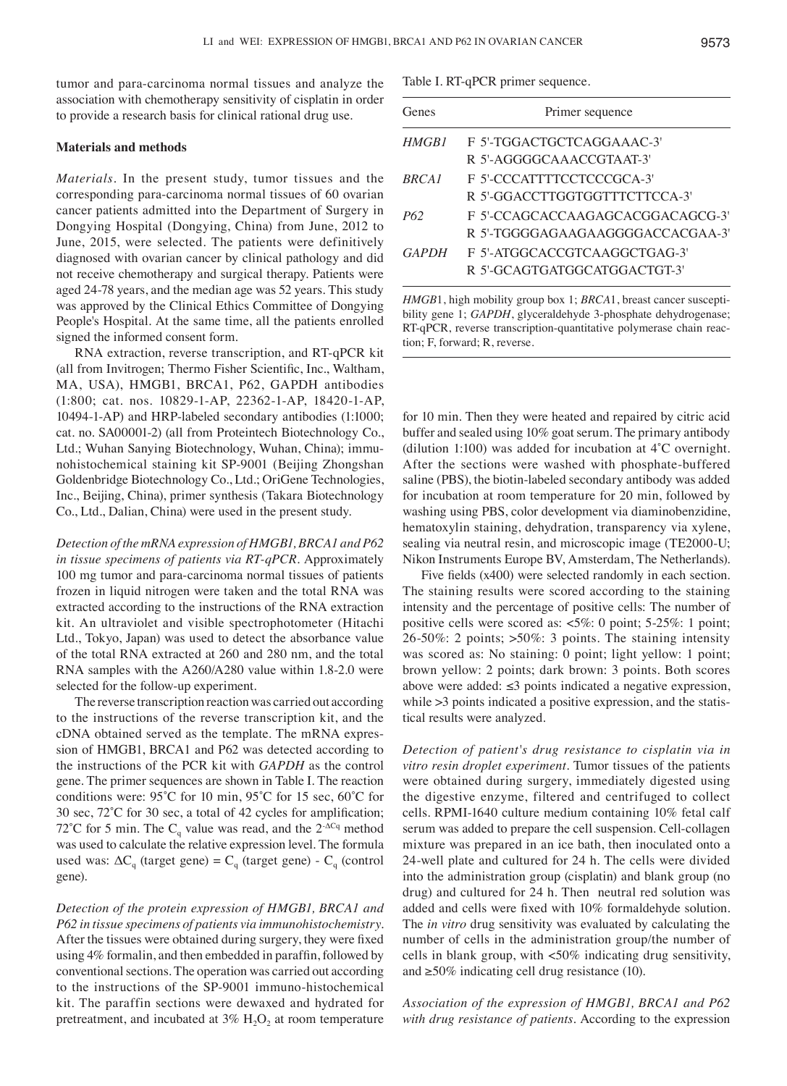tumor and para-carcinoma normal tissues and analyze the association with chemotherapy sensitivity of cisplatin in order to provide a research basis for clinical rational drug use.

#### **Materials and methods**

*Materials.* In the present study, tumor tissues and the corresponding para-carcinoma normal tissues of 60 ovarian cancer patients admitted into the Department of Surgery in Dongying Hospital (Dongying, China) from June, 2012 to June, 2015, were selected. The patients were definitively diagnosed with ovarian cancer by clinical pathology and did not receive chemotherapy and surgical therapy. Patients were aged 24-78 years, and the median age was 52 years. This study was approved by the Clinical Ethics Committee of Dongying People's Hospital. At the same time, all the patients enrolled signed the informed consent form.

RNA extraction, reverse transcription, and RT-qPCR kit (all from Invitrogen; Thermo Fisher Scientific, Inc., Waltham, MA, USA), HMGB1, BRCA1, P62, GAPDH antibodies (1:800; cat. nos. 10829-1-AP, 22362-1-AP, 18420-1-AP, 10494-1-AP) and HRP-labeled secondary antibodies (1:1000; cat. no. SA00001-2) (all from Proteintech Biotechnology Co., Ltd.; Wuhan Sanying Biotechnology, Wuhan, China); immunohistochemical staining kit SP-9001 (Beijing Zhongshan Goldenbridge Biotechnology Co., Ltd.; OriGene Technologies, Inc., Beijing, China), primer synthesis (Takara Biotechnology Co., Ltd., Dalian, China) were used in the present study.

*Detection of the mRNA expression of HMGB1, BRCA1 and P62 in tissue specimens of patients via RT-qPCR.* Approximately 100 mg tumor and para-carcinoma normal tissues of patients frozen in liquid nitrogen were taken and the total RNA was extracted according to the instructions of the RNA extraction kit. An ultraviolet and visible spectrophotometer (Hitachi Ltd., Tokyo, Japan) was used to detect the absorbance value of the total RNA extracted at 260 and 280 nm, and the total RNA samples with the A260/A280 value within 1.8-2.0 were selected for the follow-up experiment.

The reverse transcription reaction was carried out according to the instructions of the reverse transcription kit, and the cDNA obtained served as the template. The mRNA expression of HMGB1, BRCA1 and P62 was detected according to the instructions of the PCR kit with *GAPDH* as the control gene. The primer sequences are shown in Table I. The reaction conditions were: 95˚C for 10 min, 95˚C for 15 sec, 60˚C for 30 sec, 72˚C for 30 sec, a total of 42 cycles for amplification; 72°C for 5 min. The  $C_q$  value was read, and the 2<sup>- $\Delta C_q$ </sup> method was used to calculate the relative expression level. The formula used was:  $\Delta C_q$  (target gene) =  $C_q$  (target gene) -  $C_q$  (control gene).

*Detection of the protein expression of HMGB1, BRCA1 and P62 in tissue specimens of patients via immunohistochemistry.*  After the tissues were obtained during surgery, they were fixed using 4% formalin, and then embedded in paraffin, followed by conventional sections. The operation was carried out according to the instructions of the SP-9001 immuno-histochemical kit. The paraffin sections were dewaxed and hydrated for pretreatment, and incubated at  $3\%$  H<sub>2</sub>O<sub>2</sub> at room temperature Table I. RT-qPCR primer sequence.

| Genes             | Primer sequence                  |  |  |  |  |  |  |
|-------------------|----------------------------------|--|--|--|--|--|--|
| HMGB1             | F 5'-TGGACTGCTCAGGAAAC-3'        |  |  |  |  |  |  |
|                   | R 5'-AGGGGCAAACCGTAAT-3'         |  |  |  |  |  |  |
| BRCA <sub>1</sub> | F 5'-CCCATTTTCCTCCCGCA-3'        |  |  |  |  |  |  |
|                   | R 5'-GGACCTTGGTGGTTTCTTCCA-3'    |  |  |  |  |  |  |
| P62               | F 5'-CCAGCACCAAGAGCACGGACAGCG-3' |  |  |  |  |  |  |
|                   | R 5'-TGGGGAGAAGAAGGGGACCACGAA-3' |  |  |  |  |  |  |
| <b>GAPDH</b>      | F 5'-ATGGCACCGTCAAGGCTGAG-3'     |  |  |  |  |  |  |
|                   | R 5'-GCAGTGATGGCATGGACTGT-3'     |  |  |  |  |  |  |

*HMGB*1, high mobility group box 1; *BRCA*1, breast cancer susceptibility gene 1; *GAPDH*, glyceraldehyde 3-phosphate dehydrogenase; RT-qPCR, reverse transcription-quantitative polymerase chain reaction; F, forward; R, reverse.

for 10 min. Then they were heated and repaired by citric acid buffer and sealed using 10% goat serum. The primary antibody (dilution 1:100) was added for incubation at 4˚C overnight. After the sections were washed with phosphate-buffered saline (PBS), the biotin-labeled secondary antibody was added for incubation at room temperature for 20 min, followed by washing using PBS, color development via diaminobenzidine, hematoxylin staining, dehydration, transparency via xylene, sealing via neutral resin, and microscopic image (TE2000-U; Nikon Instruments Europe BV, Amsterdam, The Netherlands).

Five fields (x400) were selected randomly in each section. The staining results were scored according to the staining intensity and the percentage of positive cells: The number of positive cells were scored as: <5%: 0 point; 5-25%: 1 point; 26-50%: 2 points; >50%: 3 points. The staining intensity was scored as: No staining: 0 point; light yellow: 1 point; brown yellow: 2 points; dark brown: 3 points. Both scores above were added:  $≤3$  points indicated a negative expression, while  $>3$  points indicated a positive expression, and the statistical results were analyzed.

*Detection of patient's drug resistance to cisplatin via in vitro resin droplet experiment.* Tumor tissues of the patients were obtained during surgery, immediately digested using the digestive enzyme, filtered and centrifuged to collect cells. RPMI-1640 culture medium containing 10% fetal calf serum was added to prepare the cell suspension. Cell-collagen mixture was prepared in an ice bath, then inoculated onto a 24-well plate and cultured for 24 h. The cells were divided into the administration group (cisplatin) and blank group (no drug) and cultured for 24 h. Then neutral red solution was added and cells were fixed with 10% formaldehyde solution. The *in vitro* drug sensitivity was evaluated by calculating the number of cells in the administration group/the number of cells in blank group, with <50% indicating drug sensitivity, and  $\geq 50\%$  indicating cell drug resistance (10).

*Association of the expression of HMGB1, BRCA1 and P62 with drug resistance of patients.* According to the expression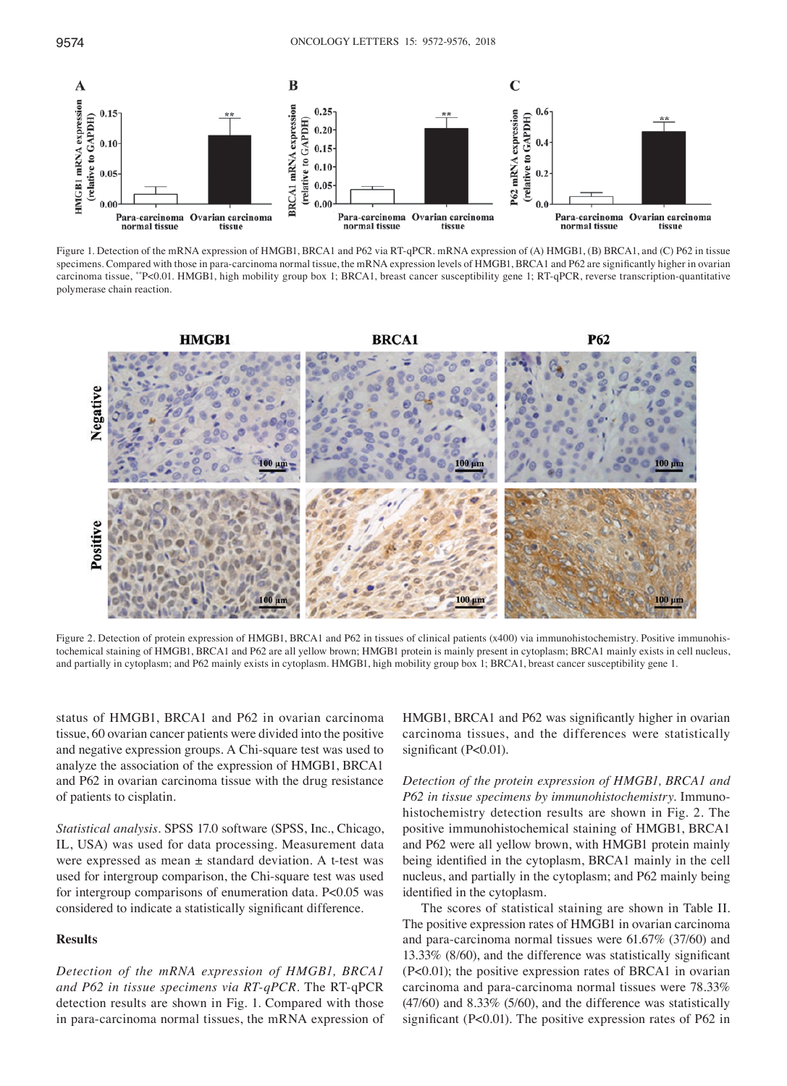

Figure 1. Detection of the mRNA expression of HMGB1, BRCA1 and P62 via RT-qPCR. mRNA expression of (A) HMGB1, (B) BRCA1, and (C) P62 in tissue specimens. Compared with those in para-carcinoma normal tissue, the mRNA expression levels of HMGB1, BRCA1 and P62 are significantly higher in ovarian carcinoma tissue, \*\*P<0.01. HMGB1, high mobility group box 1; BRCA1, breast cancer susceptibility gene 1; RT-qPCR, reverse transcription-quantitative polymerase chain reaction.



Figure 2. Detection of protein expression of HMGB1, BRCA1 and P62 in tissues of clinical patients (x400) via immunohistochemistry. Positive immunohistochemical staining of HMGB1, BRCA1 and P62 are all yellow brown; HMGB1 protein is mainly present in cytoplasm; BRCA1 mainly exists in cell nucleus, and partially in cytoplasm; and P62 mainly exists in cytoplasm. HMGB1, high mobility group box 1; BRCA1, breast cancer susceptibility gene 1.

status of HMGB1, BRCA1 and P62 in ovarian carcinoma tissue, 60 ovarian cancer patients were divided into the positive and negative expression groups. A Chi-square test was used to analyze the association of the expression of HMGB1, BRCA1 and P62 in ovarian carcinoma tissue with the drug resistance of patients to cisplatin.

*Statistical analysis.* SPSS 17.0 software (SPSS, Inc., Chicago, IL, USA) was used for data processing. Measurement data were expressed as mean ± standard deviation. A t-test was used for intergroup comparison, the Chi-square test was used for intergroup comparisons of enumeration data. P<0.05 was considered to indicate a statistically significant difference.

#### **Results**

*Detection of the mRNA expression of HMGB1, BRCA1 and P62 in tissue specimens via RT-qPCR.* The RT-qPCR detection results are shown in Fig. 1. Compared with those in para-carcinoma normal tissues, the mRNA expression of HMGB1, BRCA1 and P62 was significantly higher in ovarian carcinoma tissues, and the differences were statistically significant (P<0.01).

*Detection of the protein expression of HMGB1, BRCA1 and P62 in tissue specimens by immunohistochemistry.* Immunohistochemistry detection results are shown in Fig. 2. The positive immunohistochemical staining of HMGB1, BRCA1 and P62 were all yellow brown, with HMGB1 protein mainly being identified in the cytoplasm, BRCA1 mainly in the cell nucleus, and partially in the cytoplasm; and P62 mainly being identified in the cytoplasm.

The scores of statistical staining are shown in Table II. The positive expression rates of HMGB1 in ovarian carcinoma and para-carcinoma normal tissues were 61.67% (37/60) and 13.33% (8/60), and the difference was statistically significant (P<0.01); the positive expression rates of BRCA1 in ovarian carcinoma and para-carcinoma normal tissues were 78.33% (47/60) and 8.33% (5/60), and the difference was statistically significant (P<0.01). The positive expression rates of P62 in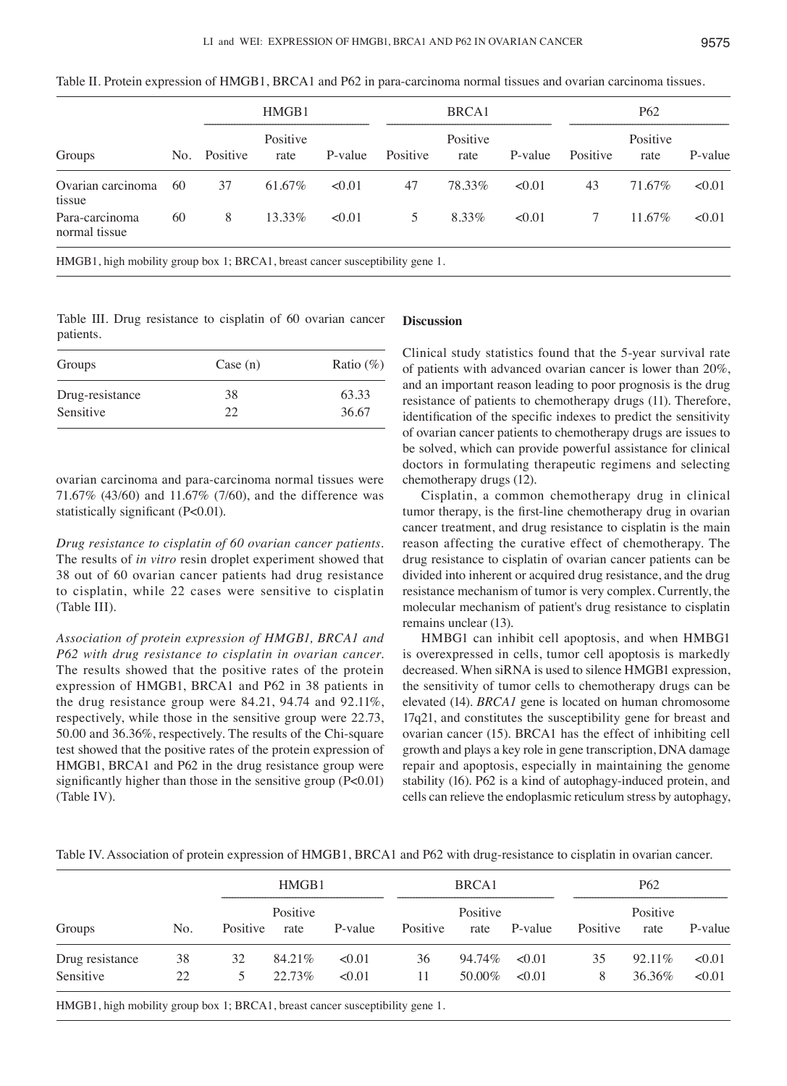| Groups                          | No. | HMGB1    |                  |         |          | BRCA1            |         | P <sub>62</sub> |                  |         |  |
|---------------------------------|-----|----------|------------------|---------|----------|------------------|---------|-----------------|------------------|---------|--|
|                                 |     | Positive | Positive<br>rate | P-value | Positive | Positive<br>rate | P-value | Positive        | Positive<br>rate | P-value |  |
| Ovarian carcinoma<br>tissue     | 60  | 37       | 61.67%           | < 0.01  | 47       | 78.33%           | < 0.01  | 43              | 71.67%           | < 0.01  |  |
| Para-carcinoma<br>normal tissue | 60  | 8        | $13.33\%$        | < 0.01  | 5        | 8.33%            | < 0.01  |                 | $11.67\%$        | < 0.01  |  |

Table II. Protein expression of HMGB1, BRCA1 and P62 in para-carcinoma normal tissues and ovarian carcinoma tissues.

HMGB1, high mobility group box 1; BRCA1, breast cancer susceptibility gene 1.

Table III. Drug resistance to cisplatin of 60 ovarian cancer patients.

| Groups          | Case (n) | Ratio $(\%)$ |  |  |
|-----------------|----------|--------------|--|--|
| Drug-resistance | 38       | 63.33        |  |  |
| Sensitive       | 22       | 36.67        |  |  |

ovarian carcinoma and para-carcinoma normal tissues were 71.67% (43/60) and 11.67% (7/60), and the difference was statistically significant (P<0.01).

*Drug resistance to cisplatin of 60 ovarian cancer patients.*  The results of *in vitro* resin droplet experiment showed that 38 out of 60 ovarian cancer patients had drug resistance to cisplatin, while 22 cases were sensitive to cisplatin (Table III).

*Association of protein expression of HMGB1, BRCA1 and P62 with drug resistance to cisplatin in ovarian cancer.*  The results showed that the positive rates of the protein expression of HMGB1, BRCA1 and P62 in 38 patients in the drug resistance group were 84.21, 94.74 and 92.11%, respectively, while those in the sensitive group were 22.73, 50.00 and 36.36%, respectively. The results of the Chi-square test showed that the positive rates of the protein expression of HMGB1, BRCA1 and P62 in the drug resistance group were significantly higher than those in the sensitive group (P<0.01) (Table IV).

# **Discussion**

Clinical study statistics found that the 5-year survival rate of patients with advanced ovarian cancer is lower than 20%, and an important reason leading to poor prognosis is the drug resistance of patients to chemotherapy drugs (11). Therefore, identification of the specific indexes to predict the sensitivity of ovarian cancer patients to chemotherapy drugs are issues to be solved, which can provide powerful assistance for clinical doctors in formulating therapeutic regimens and selecting chemotherapy drugs (12).

Cisplatin, a common chemotherapy drug in clinical tumor therapy, is the first-line chemotherapy drug in ovarian cancer treatment, and drug resistance to cisplatin is the main reason affecting the curative effect of chemotherapy. The drug resistance to cisplatin of ovarian cancer patients can be divided into inherent or acquired drug resistance, and the drug resistance mechanism of tumor is very complex. Currently, the molecular mechanism of patient's drug resistance to cisplatin remains unclear (13).

HMBG1 can inhibit cell apoptosis, and when HMBG1 is overexpressed in cells, tumor cell apoptosis is markedly decreased. When siRNA is used to silence HMGB1 expression, the sensitivity of tumor cells to chemotherapy drugs can be elevated (14). *BRCA1* gene is located on human chromosome 17q21, and constitutes the susceptibility gene for breast and ovarian cancer (15). BRCA1 has the effect of inhibiting cell growth and plays a key role in gene transcription, DNA damage repair and apoptosis, especially in maintaining the genome stability (16). P62 is a kind of autophagy-induced protein, and cells can relieve the endoplasmic reticulum stress by autophagy,

Table IV. Association of protein expression of HMGB1, BRCA1 and P62 with drug-resistance to cisplatin in ovarian cancer.

|     | HMGB1 |                  | BRCA1    |          |        | P <sub>62</sub>    |          |                  |         |
|-----|-------|------------------|----------|----------|--------|--------------------|----------|------------------|---------|
| No. |       | Positive<br>rate | P-value  | Positive | rate   |                    | Positive | Positive<br>rate | P-value |
| 38  | 32    | 84.21%           | < 0.01   | 36       |        | < 0.01             | 35       | $92.11\%$        | < 0.01  |
| 22  | 5.    | 22.73%           | < 0.01   | 11       | 50.00% | < 0.01             | 8        | 36.36%           | < 0.01  |
|     |       |                  | Positive |          |        | Positive<br>94.74% | P-value  |                  |         |

HMGB1, high mobility group box 1; BRCA1, breast cancer susceptibility gene 1.